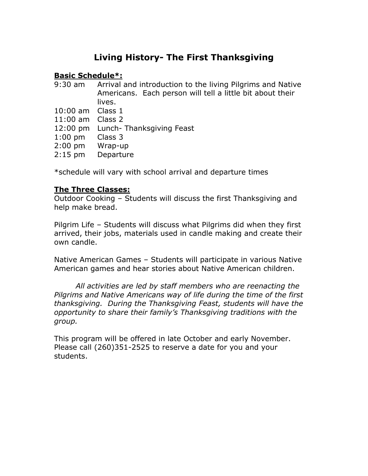# **Living History- The First Thanksgiving**

# **Basic Schedule\*:**

| 9:30 am            | Arrival and introduction to the living Pilgrims and Native |
|--------------------|------------------------------------------------------------|
|                    | Americans. Each person will tell a little bit about their  |
|                    | lives.                                                     |
| 10:00 am Class 1   |                                                            |
| $11:00$ am Class 2 |                                                            |
|                    | 12:00 pm Lunch-Thanksgiving Feast                          |
| $1:00$ pm          | Class 3                                                    |
| $2:00$ pm          | Wrap-up                                                    |
| $2:15$ pm          | Departure                                                  |
|                    |                                                            |
|                    |                                                            |

\*schedule will vary with school arrival and departure times

## **The Three Classes:**

Outdoor Cooking – Students will discuss the first Thanksgiving and help make bread.

Pilgrim Life – Students will discuss what Pilgrims did when they first arrived, their jobs, materials used in candle making and create their own candle.

Native American Games – Students will participate in various Native American games and hear stories about Native American children.

*All activities are led by staff members who are reenacting the Pilgrims and Native Americans way of life during the time of the first thanksgiving. During the Thanksgiving Feast, students will have the opportunity to share their family's Thanksgiving traditions with the group.* 

This program will be offered in late October and early November. Please call (260)351-2525 to reserve a date for you and your students.